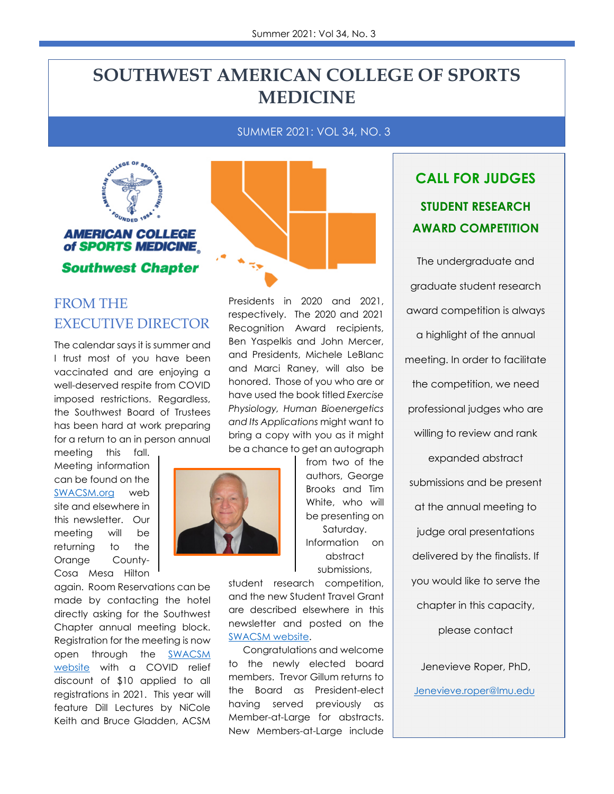# **SOUTHWEST AMERICAN COLLEGE OF SPORTS MEDICINE**

SUMMER 2021: VOL 34, NO. 3



#### **AMERICAN COLLEGE** of SPORTS MEDICINE

**Southwest Chapter** 

#### FROM THE EXECUTIVE DIRECTOR

The calendar says it is summer and I trust most of you have been vaccinated and are enjoying a well-deserved respite from COVID imposed restrictions. Regardless, the Southwest Board of Trustees has been hard at work preparing for a return to an in person annual

meeting this fall. Meeting information can be found on the [SWACSM.org](https://www.acsm.org/acsm-membership/regional-chapters/acsm-chapters/southwest/southwest-l2/meeting-info) web site and elsewhere in this newsletter. Our meeting will be returning to the Orange County-Cosa Mesa Hilton

again. Room Reservations can be made by contacting the hotel directly asking for the Southwest Chapter annual meeting block. Registration for the meeting is now open through the [SWACSM](https://www.acsm.org/acsm-membership/regional-chapters/acsm-chapters/southwest/southwest-l2/meeting-info)  [website](https://www.acsm.org/acsm-membership/regional-chapters/acsm-chapters/southwest/southwest-l2/meeting-info) with a COVID relief discount of \$10 applied to all registrations in 2021. This year will feature Dill Lectures by NiCole Keith and Bruce Gladden, ACSM



Presidents in 2020 and 2021, respectively. The 2020 and 2021 Recognition Award recipients, Ben Yaspelkis and John Mercer, and Presidents, Michele LeBlanc and Marci Raney, will also be honored. Those of you who are or have used the book titled *Exercise Physiology, Human Bioenergetics and Its Applications* might want to bring a copy with you as it might be a chance to get an autograph

from two of the authors, George Brooks and Tim White, who will be presenting on Saturday. Information on abstract submissions,

student research competition, and the new Student Travel Grant are described elsewhere in this newsletter and posted on the [SWACSM website.](https://www.acsm.org/acsm-membership/regional-chapters/acsm-chapters/southwest/southwest-l2/meeting-info) 

Congratulations and welcome to the newly elected board members. Trevor Gillum returns to the Board as President-elect having served previously as Member-at-Large for abstracts. New Members-at-Large include

# **CALL FOR JUDGES STUDENT RESEARCH AWARD COMPETITION**

The undergraduate and graduate student research award competition is always a highlight of the annual meeting. In order to facilitate the competition, we need professional judges who are willing to review and rank expanded abstract submissions and be present at the annual meeting to judge oral presentations delivered by the finalists. If you would like to serve the chapter in this capacity, please contact

Jenevieve Roper, PhD,

Jenevieve.roper@lmu.edu.

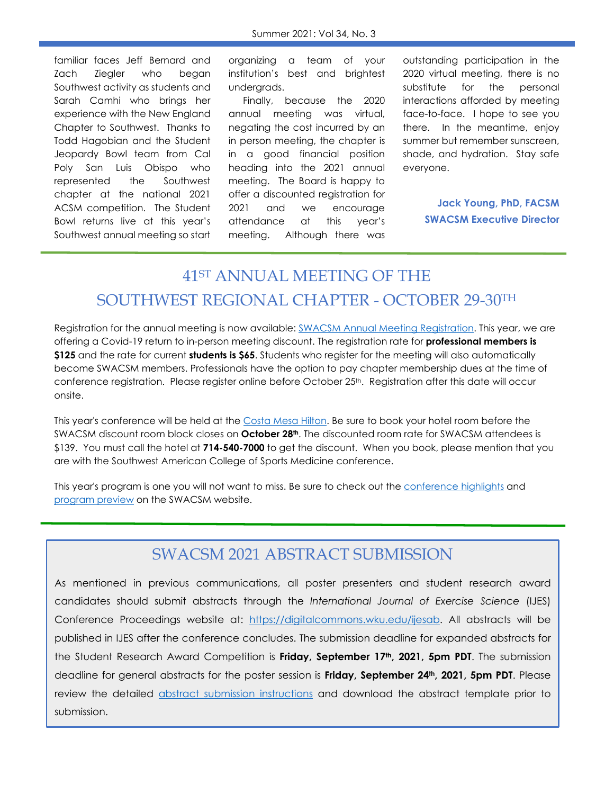familiar faces Jeff Bernard and Zach Ziegler who began Southwest activity as students and Sarah Camhi who brings her experience with the New England Chapter to Southwest. Thanks to Todd Hagobian and the Student Jeopardy Bowl team from Cal Poly San Luis Obispo who represented the Southwest chapter at the national 2021 ACSM competition. The Student Bowl returns live at this year's Southwest annual meeting so start

organizing a team of your institution's best and brightest undergrads.

Finally, because the 2020 annual meeting was virtual, negating the cost incurred by an in person meeting, the chapter is in a good financial position heading into the 2021 annual meeting. The Board is happy to offer a discounted registration for 2021 and we encourage attendance at this year's meeting. Although there was

outstanding participation in the 2020 virtual meeting, there is no substitute for the personal interactions afforded by meeting face-to-face. I hope to see you there. In the meantime, enjoy summer but remember sunscreen, shade, and hydration. Stay safe everyone.

> **Jack Young, PhD, FACSM SWACSM Executive Director**

# 41ST ANNUAL MEETING OF THE SOUTHWEST REGIONAL CHAPTER - OCTOBER 29-30TH

Registration for the annual meeting is now available[: SWACSM Annual Meeting Registration. T](https://members.acsm.org/ACSM/Events/Event_Display.aspx?EventKey=SW2021F)his year, we are offering a Covid-19 return to in-person meeting discount. The registration rate for **professional members is \$125** and the rate for current **students is \$65**. Students who register for the meeting will also automatically become SWACSM members. Professionals have the option to pay chapter membership dues at the time of conference registration. Please register online before October 25<sup>th</sup>. Registration after this date will occur onsite.

This year's conference will be held at the [Costa Mesa Hilton.](https://www.hilton.com/en/hotels/snacmhh-hilton-orange-county-costa-mesa/?SEO_id=GMB-HH-SNACMHH&y_source=1_MTIyMDg2OC03MTUtbG9jYXRpb24uZ29vZ2xlX3dlYnNpdGVfb3ZlcnJpZGU%3D) Be sure to book your hotel room before the SWACSM discount room block closes on **October 28th**. The discounted room rate for SWACSM attendees is \$139. You must call the hotel at **714-540-7000** to get the discount. When you book, please mention that you are with the Southwest American College of Sports Medicine conference.

This year's program is one you will not want to miss. Be sure to check out the [conference highlights a](https://www.acsm.org/acsm-membership/regional-chapters/acsm-chapters/southwest/southwest-l2/meeting-info)nd [program preview o](https://www.acsm.org/docs/default-source/default-document-library/2021-swacsm-meeting-preview.pdf?sfvrsn=9a31c475_2)n the SWACSM website.

#### SWACSM 2021 ABSTRACT SUBMISSION

As mentioned in previous communications, all poster presenters and student research award candidates should submit abstracts through the *International Journal of Exercise Science* (IJES) Conference Proceedings website at: [https://digitalcommons.wku.edu/ijesab.](https://digitalcommons.wku.edu/ijesab/) All abstracts will be published in IJES after the conference concludes. The submission deadline for expanded abstracts for the Student Research Award Competition is **Friday, September 17th, 2021, 5pm PDT**. The submission deadline for general abstracts for the poster session is **Friday, September 24th, 2021, 5pm PDT**. Please review the detailed [abstract submission instructions](https://www.acsm.org/docs/default-source/default-document-library/2021-swacsm-abstract-submission-instructions.pdf?sfvrsn=9e1a13d9_0) and download the abstract template prior to submission.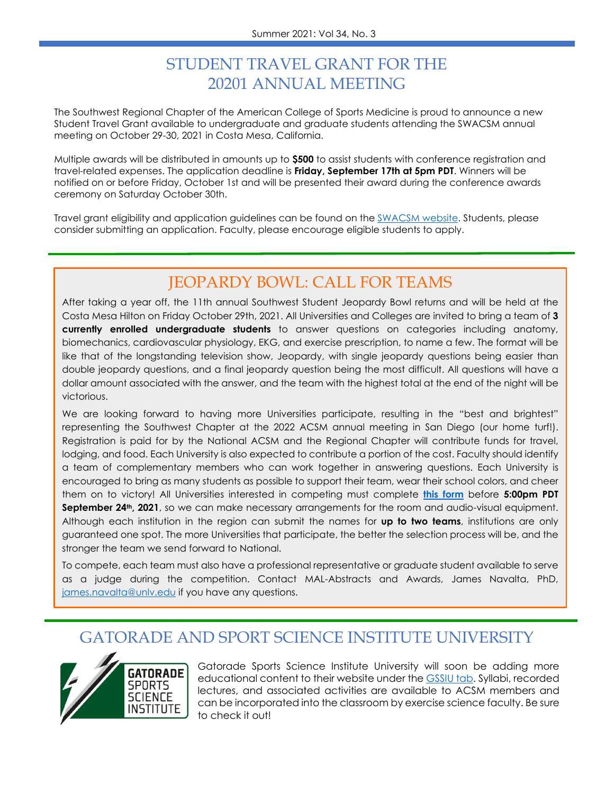## STUDENT TRAVEL GRANT FOR THE 20201 ANNUAL MEETING

The Southwest Regional Chapter of the American College of Sports Medicine is proud to announce a new Student Travel Grant available to undergraduate and graduate students attending the SWACSM annual meeting on October 29-30, 2021 in Costa Mesa, California.

Multiple awards will be distributed in amounts up to **\$500** to assist students with conference registration and travel-related expenses. The application deadline is **Friday, September 17th at 5pm PDT**. Winners will be notified on or before Friday, October 1st and will be presented their award during the conference awards ceremony on Saturday October 30th.

Travel grant eligibility and application guidelines can be found on the [SWACSM website.](https://www.acsm.org/acsm-membership/regional-chapters/acsm-chapters/southwest/awards/student-scholarships) Students, please consider submitting an application. Faculty, please encourage eligible students to apply.

### JEOPARDY BOWL: CALL FOR TEAMS

After taking a year off, the 11th annual Southwest Student Jeopardy Bowl returns and will be held at the Costa Mesa Hilton on Friday October 29th, 2021. All Universities and Colleges are invited to bring a team of **3 currently enrolled undergraduate students** to answer questions on categories including anatomy, biomechanics, cardiovascular physiology, EKG, and exercise prescription, to name a few. The format will be like that of the longstanding television show, Jeopardy, with single jeopardy questions being easier than double jeopardy questions, and a final jeopardy question being the most difficult. All questions will have a dollar amount associated with the answer, and the team with the highest total at the end of the night will be victorious.

We are looking forward to having more Universities participate, resulting in the "best and brightest" representing the Southwest Chapter at the 2022 ACSM annual meeting in San Diego (our home turf!). Registration is paid for by the National ACSM and the Regional Chapter will contribute funds for travel, lodging, and food. Each University is also expected to contribute a portion of the cost. Faculty should identify a team of complementary members who can work together in answering questions. Each University is encouraged to bring as many students as possible to support their team, wear their school colors, and cheer them on to victory! All Universities interested in competing must complete **[this form](https://docs.google.com/forms/d/1xvNBgRsq_78HbLTFs0W_Q4a2wVi1Jhll6RtfT1KqV74/viewform?edit_requested=true)** before **5:00pm PDT September 24th, 2021**, so we can make necessary arrangements for the room and audio-visual equipment. Although each institution in the region can submit the names for **up to two teams**, institutions are only guaranteed one spot. The more Universities that participate, the better the selection process will be, and the stronger the team we send forward to National.

To compete, each team must also have a professional representative or graduate student available to serve as a judge during the competition. Contact MAL-Abstracts and Awards, James Navalta, PhD, james.navalta@unlv.edu if you have any questions.

#### GATORADE AND SPORT SCIENCE INSTITUTE UNIVERSITY



Gatorade Sports Science Institute University will soon be adding more educational content to their website under the **GSSIU tab**. Syllabi, recorded lectures, and associated activities are available to ACSM members and can be incorporated into the classroom by exercise science faculty. Be sure to check it out!